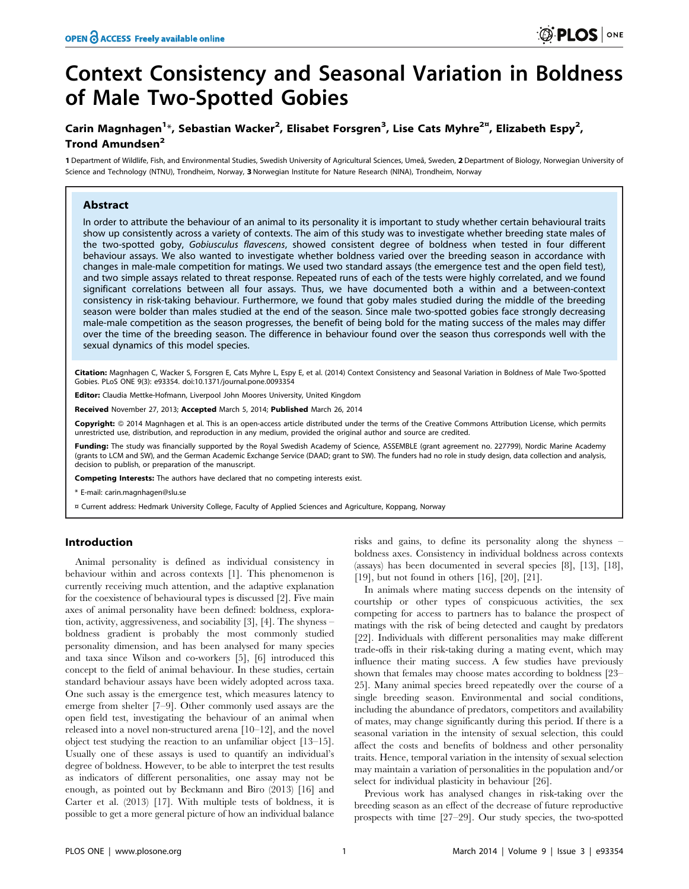# Context Consistency and Seasonal Variation in Boldness of Male Two-Spotted Gobies

# Carin Magnhagen<sup>1</sup>\*, Sebastian Wacker<sup>2</sup>, Elisabet Forsgren<sup>3</sup>, Lise Cats Myhre<sup>2¤</sup>, Elizabeth Espy<sup>2</sup>, Trond Amundsen<sup>2</sup>

1 Department of Wildlife, Fish, and Environmental Studies, Swedish University of Agricultural Sciences, Umeå, Sweden, 2 Department of Biology, Norwegian University of Science and Technology (NTNU), Trondheim, Norway, 3 Norwegian Institute for Nature Research (NINA), Trondheim, Norway

# Abstract

In order to attribute the behaviour of an animal to its personality it is important to study whether certain behavioural traits show up consistently across a variety of contexts. The aim of this study was to investigate whether breeding state males of the two-spotted goby, Gobiusculus flavescens, showed consistent degree of boldness when tested in four different behaviour assays. We also wanted to investigate whether boldness varied over the breeding season in accordance with changes in male-male competition for matings. We used two standard assays (the emergence test and the open field test), and two simple assays related to threat response. Repeated runs of each of the tests were highly correlated, and we found significant correlations between all four assays. Thus, we have documented both a within and a between-context consistency in risk-taking behaviour. Furthermore, we found that goby males studied during the middle of the breeding season were bolder than males studied at the end of the season. Since male two-spotted gobies face strongly decreasing male-male competition as the season progresses, the benefit of being bold for the mating success of the males may differ over the time of the breeding season. The difference in behaviour found over the season thus corresponds well with the sexual dynamics of this model species.

Citation: Magnhagen C, Wacker S, Forsgren E, Cats Myhre L, Espy E, et al. (2014) Context Consistency and Seasonal Variation in Boldness of Male Two-Spotted Gobies. PLoS ONE 9(3): e93354. doi:10.1371/journal.pone.0093354

Editor: Claudia Mettke-Hofmann, Liverpool John Moores University, United Kingdom

Received November 27, 2013; Accepted March 5, 2014; Published March 26, 2014

Copyright: © 2014 Magnhagen et al. This is an open-access article distributed under the terms of the [Creative Commons Attribution License,](http://creativecommons.org/licenses/by/4.0/) which permits unrestricted use, distribution, and reproduction in any medium, provided the original author and source are credited.

Funding: The study was financially supported by the Royal Swedish Academy of Science, ASSEMBLE (grant agreement no. 227799), Nordic Marine Academy (grants to LCM and SW), and the German Academic Exchange Service (DAAD; grant to SW). The funders had no role in study design, data collection and analysis, decision to publish, or preparation of the manuscript.

Competing Interests: The authors have declared that no competing interests exist.

\* E-mail: carin.magnhagen@slu.se

¤ Current address: Hedmark University College, Faculty of Applied Sciences and Agriculture, Koppang, Norway

# Introduction

Animal personality is defined as individual consistency in behaviour within and across contexts [1]. This phenomenon is currently receiving much attention, and the adaptive explanation for the coexistence of behavioural types is discussed [2]. Five main axes of animal personality have been defined: boldness, exploration, activity, aggressiveness, and sociability [3], [4]. The shyness – boldness gradient is probably the most commonly studied personality dimension, and has been analysed for many species and taxa since Wilson and co-workers [5], [6] introduced this concept to the field of animal behaviour. In these studies, certain standard behaviour assays have been widely adopted across taxa. One such assay is the emergence test, which measures latency to emerge from shelter [7–9]. Other commonly used assays are the open field test, investigating the behaviour of an animal when released into a novel non-structured arena [10–12], and the novel object test studying the reaction to an unfamiliar object [13–15]. Usually one of these assays is used to quantify an individual's degree of boldness. However, to be able to interpret the test results as indicators of different personalities, one assay may not be enough, as pointed out by Beckmann and Biro (2013) [16] and Carter et al. (2013) [17]. With multiple tests of boldness, it is possible to get a more general picture of how an individual balance

risks and gains, to define its personality along the shyness – boldness axes. Consistency in individual boldness across contexts (assays) has been documented in several species [8], [13], [18], [19], but not found in others [16], [20], [21].

In animals where mating success depends on the intensity of courtship or other types of conspicuous activities, the sex competing for access to partners has to balance the prospect of matings with the risk of being detected and caught by predators [22]. Individuals with different personalities may make different trade-offs in their risk-taking during a mating event, which may influence their mating success. A few studies have previously shown that females may choose mates according to boldness [23– 25]. Many animal species breed repeatedly over the course of a single breeding season. Environmental and social conditions, including the abundance of predators, competitors and availability of mates, may change significantly during this period. If there is a seasonal variation in the intensity of sexual selection, this could affect the costs and benefits of boldness and other personality traits. Hence, temporal variation in the intensity of sexual selection may maintain a variation of personalities in the population and/or select for individual plasticity in behaviour [26].

Previous work has analysed changes in risk-taking over the breeding season as an effect of the decrease of future reproductive prospects with time [27–29]. Our study species, the two-spotted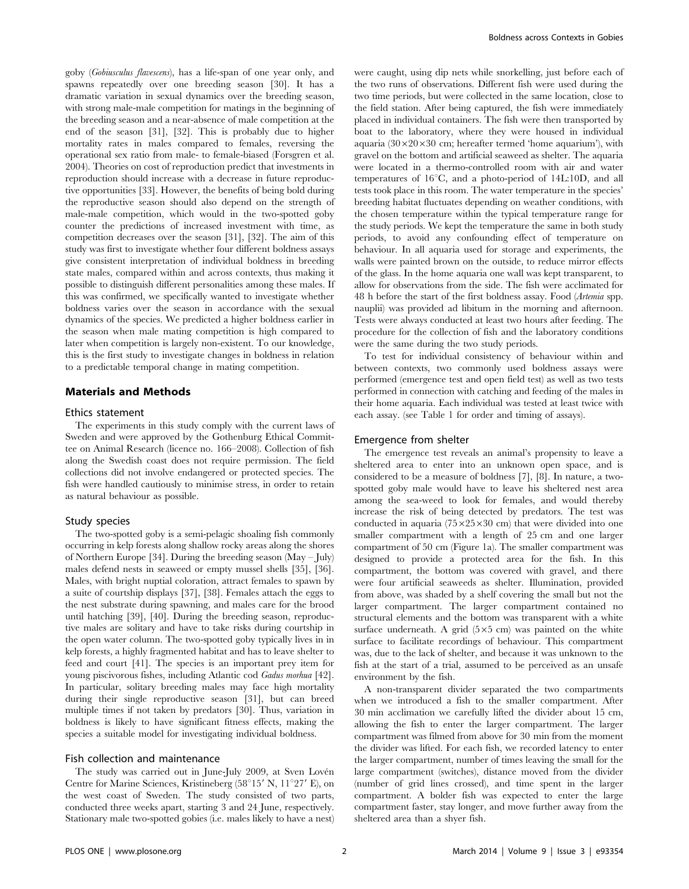goby (Gobiusculus flavescens), has a life-span of one year only, and spawns repeatedly over one breeding season [30]. It has a dramatic variation in sexual dynamics over the breeding season, with strong male-male competition for matings in the beginning of the breeding season and a near-absence of male competition at the end of the season [31], [32]. This is probably due to higher mortality rates in males compared to females, reversing the operational sex ratio from male- to female-biased (Forsgren et al. 2004). Theories on cost of reproduction predict that investments in reproduction should increase with a decrease in future reproductive opportunities [33]. However, the benefits of being bold during the reproductive season should also depend on the strength of male-male competition, which would in the two-spotted goby counter the predictions of increased investment with time, as competition decreases over the season [31], [32]. The aim of this study was first to investigate whether four different boldness assays give consistent interpretation of individual boldness in breeding state males, compared within and across contexts, thus making it possible to distinguish different personalities among these males. If this was confirmed, we specifically wanted to investigate whether boldness varies over the season in accordance with the sexual dynamics of the species. We predicted a higher boldness earlier in the season when male mating competition is high compared to later when competition is largely non-existent. To our knowledge, this is the first study to investigate changes in boldness in relation to a predictable temporal change in mating competition.

# Materials and Methods

### Ethics statement

The experiments in this study comply with the current laws of Sweden and were approved by the Gothenburg Ethical Committee on Animal Research (licence no. 166–2008). Collection of fish along the Swedish coast does not require permission. The field collections did not involve endangered or protected species. The fish were handled cautiously to minimise stress, in order to retain as natural behaviour as possible.

#### Study species

The two-spotted goby is a semi-pelagic shoaling fish commonly occurring in kelp forests along shallow rocky areas along the shores of Northern Europe [34]. During the breeding season (May – July) males defend nests in seaweed or empty mussel shells [35], [36]. Males, with bright nuptial coloration, attract females to spawn by a suite of courtship displays [37], [38]. Females attach the eggs to the nest substrate during spawning, and males care for the brood until hatching [39], [40]. During the breeding season, reproductive males are solitary and have to take risks during courtship in the open water column. The two-spotted goby typically lives in in kelp forests, a highly fragmented habitat and has to leave shelter to feed and court [41]. The species is an important prey item for young piscivorous fishes, including Atlantic cod Gadus morhua [42]. In particular, solitary breeding males may face high mortality during their single reproductive season [31], but can breed multiple times if not taken by predators [30]. Thus, variation in boldness is likely to have significant fitness effects, making the species a suitable model for investigating individual boldness.

# Fish collection and maintenance

The study was carried out in June-July 2009, at Sven Lovén Centre for Marine Sciences, Kristineberg (58°15' N, 11°27' E), on the west coast of Sweden. The study consisted of two parts, conducted three weeks apart, starting 3 and 24 June, respectively. Stationary male two-spotted gobies (i.e. males likely to have a nest) were caught, using dip nets while snorkelling, just before each of the two runs of observations. Different fish were used during the two time periods, but were collected in the same location, close to the field station. After being captured, the fish were immediately placed in individual containers. The fish were then transported by boat to the laboratory, where they were housed in individual aquaria  $(30\times20\times30$  cm; hereafter termed 'home aquarium'), with gravel on the bottom and artificial seaweed as shelter. The aquaria were located in a thermo-controlled room with air and water temperatures of  $16^{\circ}$ C, and a photo-period of  $14L:10D$ , and all tests took place in this room. The water temperature in the species' breeding habitat fluctuates depending on weather conditions, with the chosen temperature within the typical temperature range for the study periods. We kept the temperature the same in both study periods, to avoid any confounding effect of temperature on behaviour. In all aquaria used for storage and experiments, the walls were painted brown on the outside, to reduce mirror effects of the glass. In the home aquaria one wall was kept transparent, to allow for observations from the side. The fish were acclimated for 48 h before the start of the first boldness assay. Food (Artemia spp. nauplii) was provided ad libitum in the morning and afternoon. Tests were always conducted at least two hours after feeding. The procedure for the collection of fish and the laboratory conditions were the same during the two study periods.

To test for individual consistency of behaviour within and between contexts, two commonly used boldness assays were performed (emergence test and open field test) as well as two tests performed in connection with catching and feeding of the males in their home aquaria. Each individual was tested at least twice with each assay. (see Table 1 for order and timing of assays).

#### Emergence from shelter

The emergence test reveals an animal's propensity to leave a sheltered area to enter into an unknown open space, and is considered to be a measure of boldness [7], [8]. In nature, a twospotted goby male would have to leave his sheltered nest area among the sea-weed to look for females, and would thereby increase the risk of being detected by predators. The test was conducted in aquaria  $(75\times25\times30$  cm) that were divided into one smaller compartment with a length of 25 cm and one larger compartment of 50 cm (Figure 1a). The smaller compartment was designed to provide a protected area for the fish. In this compartment, the bottom was covered with gravel, and there were four artificial seaweeds as shelter. Illumination, provided from above, was shaded by a shelf covering the small but not the larger compartment. The larger compartment contained no structural elements and the bottom was transparent with a white surface underneath. A grid  $(5 \times 5$  cm) was painted on the white surface to facilitate recordings of behaviour. This compartment was, due to the lack of shelter, and because it was unknown to the fish at the start of a trial, assumed to be perceived as an unsafe environment by the fish.

A non-transparent divider separated the two compartments when we introduced a fish to the smaller compartment. After 30 min acclimation we carefully lifted the divider about 15 cm, allowing the fish to enter the larger compartment. The larger compartment was filmed from above for 30 min from the moment the divider was lifted. For each fish, we recorded latency to enter the larger compartment, number of times leaving the small for the large compartment (switches), distance moved from the divider (number of grid lines crossed), and time spent in the larger compartment. A bolder fish was expected to enter the large compartment faster, stay longer, and move further away from the sheltered area than a shyer fish.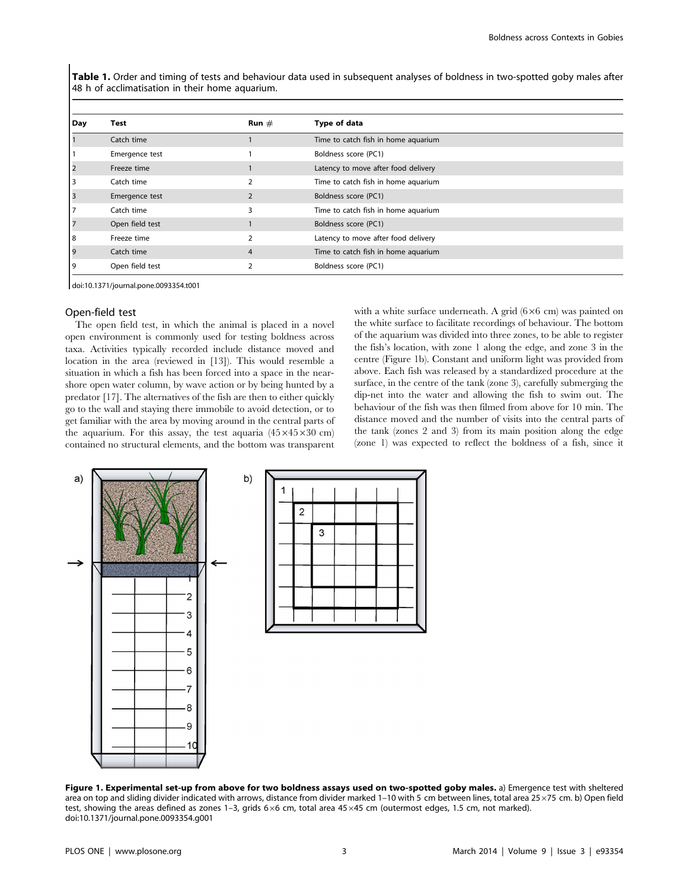Table 1. Order and timing of tests and behaviour data used in subsequent analyses of boldness in two-spotted goby males after 48 h of acclimatisation in their home aquarium.

| Day | <b>Test</b>     | Run $#$        | Type of data                        |
|-----|-----------------|----------------|-------------------------------------|
|     | Catch time      |                | Time to catch fish in home aquarium |
|     | Emergence test  |                | Boldness score (PC1)                |
|     | Freeze time     |                | Latency to move after food delivery |
| 3   | Catch time      | $\mathcal{I}$  | Time to catch fish in home aquarium |
|     | Emergence test  | $\overline{2}$ | Boldness score (PC1)                |
|     | Catch time      | 3              | Time to catch fish in home aquarium |
|     | Open field test |                | Boldness score (PC1)                |
| 8   | Freeze time     |                | Latency to move after food delivery |
| 19  | Catch time      | $\overline{4}$ | Time to catch fish in home aquarium |
|     | Open field test |                | Boldness score (PC1)                |

doi:10.1371/journal.pone.0093354.t001

# Open-field test

The open field test, in which the animal is placed in a novel open environment is commonly used for testing boldness across taxa. Activities typically recorded include distance moved and location in the area (reviewed in [13]). This would resemble a situation in which a fish has been forced into a space in the nearshore open water column, by wave action or by being hunted by a predator [17]. The alternatives of the fish are then to either quickly go to the wall and staying there immobile to avoid detection, or to get familiar with the area by moving around in the central parts of the aquarium. For this assay, the test aquaria  $(45\times45\times30$  cm) contained no structural elements, and the bottom was transparent with a white surface underneath. A grid  $(6\times6$  cm) was painted on the white surface to facilitate recordings of behaviour. The bottom of the aquarium was divided into three zones, to be able to register the fish's location, with zone 1 along the edge, and zone 3 in the centre (Figure 1b). Constant and uniform light was provided from above. Each fish was released by a standardized procedure at the surface, in the centre of the tank (zone 3), carefully submerging the dip-net into the water and allowing the fish to swim out. The behaviour of the fish was then filmed from above for 10 min. The distance moved and the number of visits into the central parts of the tank (zones 2 and 3) from its main position along the edge (zone 1) was expected to reflect the boldness of a fish, since it



Figure 1. Experimental set-up from above for two boldness assays used on two-spotted goby males. a) Emergence test with sheltered area on top and sliding divider indicated with arrows, distance from divider marked 1-10 with 5 cm between lines, total area 25×75 cm. b) Open field test, showing the areas defined as zones 1-3, grids  $6\times6$  cm, total area 45 $\times45$  cm (outermost edges, 1.5 cm, not marked). doi:10.1371/journal.pone.0093354.g001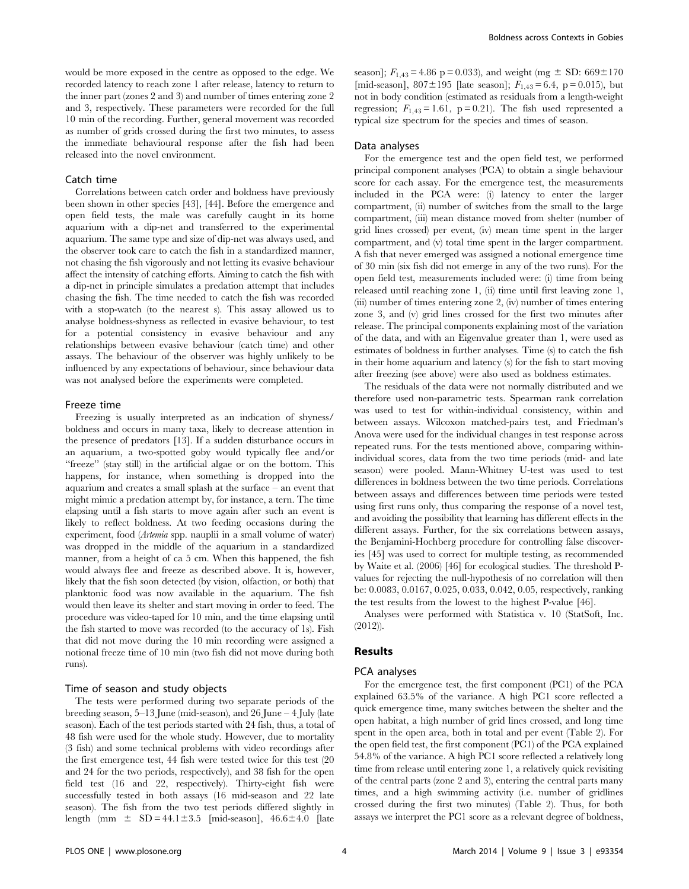would be more exposed in the centre as opposed to the edge. We recorded latency to reach zone 1 after release, latency to return to the inner part (zones 2 and 3) and number of times entering zone 2 and 3, respectively. These parameters were recorded for the full 10 min of the recording. Further, general movement was recorded as number of grids crossed during the first two minutes, to assess the immediate behavioural response after the fish had been released into the novel environment.

# Catch time

Correlations between catch order and boldness have previously been shown in other species [43], [44]. Before the emergence and open field tests, the male was carefully caught in its home aquarium with a dip-net and transferred to the experimental aquarium. The same type and size of dip-net was always used, and the observer took care to catch the fish in a standardized manner, not chasing the fish vigorously and not letting its evasive behaviour affect the intensity of catching efforts. Aiming to catch the fish with a dip-net in principle simulates a predation attempt that includes chasing the fish. The time needed to catch the fish was recorded with a stop-watch (to the nearest s). This assay allowed us to analyse boldness-shyness as reflected in evasive behaviour, to test for a potential consistency in evasive behaviour and any relationships between evasive behaviour (catch time) and other assays. The behaviour of the observer was highly unlikely to be influenced by any expectations of behaviour, since behaviour data was not analysed before the experiments were completed.

#### Freeze time

Freezing is usually interpreted as an indication of shyness/ boldness and occurs in many taxa, likely to decrease attention in the presence of predators [13]. If a sudden disturbance occurs in an aquarium, a two-spotted goby would typically flee and/or ''freeze'' (stay still) in the artificial algae or on the bottom. This happens, for instance, when something is dropped into the aquarium and creates a small splash at the surface – an event that might mimic a predation attempt by, for instance, a tern. The time elapsing until a fish starts to move again after such an event is likely to reflect boldness. At two feeding occasions during the experiment, food (Artemia spp. nauplii in a small volume of water) was dropped in the middle of the aquarium in a standardized manner, from a height of ca 5 cm. When this happened, the fish would always flee and freeze as described above. It is, however, likely that the fish soon detected (by vision, olfaction, or both) that planktonic food was now available in the aquarium. The fish would then leave its shelter and start moving in order to feed. The procedure was video-taped for 10 min, and the time elapsing until the fish started to move was recorded (to the accuracy of 1s). Fish that did not move during the 10 min recording were assigned a notional freeze time of 10 min (two fish did not move during both runs).

#### Time of season and study objects

The tests were performed during two separate periods of the breeding season, 5–13 June (mid-season), and 26 June – 4 July (late season). Each of the test periods started with 24 fish, thus, a total of 48 fish were used for the whole study. However, due to mortality (3 fish) and some technical problems with video recordings after the first emergence test, 44 fish were tested twice for this test (20 and 24 for the two periods, respectively), and 38 fish for the open field test (16 and 22, respectively). Thirty-eight fish were successfully tested in both assays (16 mid-season and 22 late season). The fish from the two test periods differed slightly in length (mm  $\pm$  SD = 44.1 $\pm$ 3.5 [mid-season], 46.6 $\pm$ 4.0 [late season];  $F_{1,43} = 4.86$  p = 0.033), and weight (mg  $\pm$  SD: 669 $\pm$ 170 [mid-season],  $807 \pm 195$  [late season];  $F_{1,43} = 6.4$ , p = 0.015), but not in body condition (estimated as residuals from a length-weight regression;  $F_{1,43} = 1.61$ , p = 0.21). The fish used represented a typical size spectrum for the species and times of season.

# Data analyses

For the emergence test and the open field test, we performed principal component analyses (PCA) to obtain a single behaviour score for each assay. For the emergence test, the measurements included in the PCA were: (i) latency to enter the larger compartment, (ii) number of switches from the small to the large compartment, (iii) mean distance moved from shelter (number of grid lines crossed) per event, (iv) mean time spent in the larger compartment, and (v) total time spent in the larger compartment. A fish that never emerged was assigned a notional emergence time of 30 min (six fish did not emerge in any of the two runs). For the open field test, measurements included were: (i) time from being released until reaching zone 1, (ii) time until first leaving zone 1, (iii) number of times entering zone 2, (iv) number of times entering zone 3, and (v) grid lines crossed for the first two minutes after release. The principal components explaining most of the variation of the data, and with an Eigenvalue greater than 1, were used as estimates of boldness in further analyses. Time (s) to catch the fish in their home aquarium and latency (s) for the fish to start moving after freezing (see above) were also used as boldness estimates.

The residuals of the data were not normally distributed and we therefore used non-parametric tests. Spearman rank correlation was used to test for within-individual consistency, within and between assays. Wilcoxon matched-pairs test, and Friedman's Anova were used for the individual changes in test response across repeated runs. For the tests mentioned above, comparing withinindividual scores, data from the two time periods (mid- and late season) were pooled. Mann-Whitney U-test was used to test differences in boldness between the two time periods. Correlations between assays and differences between time periods were tested using first runs only, thus comparing the response of a novel test, and avoiding the possibility that learning has different effects in the different assays. Further, for the six correlations between assays, the Benjamini-Hochberg procedure for controlling false discoveries [45] was used to correct for multiple testing, as recommended by Waite et al. (2006) [46] for ecological studies. The threshold Pvalues for rejecting the null-hypothesis of no correlation will then be: 0.0083, 0.0167, 0.025, 0.033, 0.042, 0.05, respectively, ranking the test results from the lowest to the highest P-value [46].

Analyses were performed with Statistica v. 10 (StatSoft, Inc. (2012)).

#### Results

#### PCA analyses

For the emergence test, the first component (PC1) of the PCA explained 63.5% of the variance. A high PC1 score reflected a quick emergence time, many switches between the shelter and the open habitat, a high number of grid lines crossed, and long time spent in the open area, both in total and per event (Table 2). For the open field test, the first component (PC1) of the PCA explained 54.8% of the variance. A high PC1 score reflected a relatively long time from release until entering zone 1, a relatively quick revisiting of the central parts (zone 2 and 3), entering the central parts many times, and a high swimming activity (i.e. number of gridlines crossed during the first two minutes) (Table 2). Thus, for both assays we interpret the PC1 score as a relevant degree of boldness,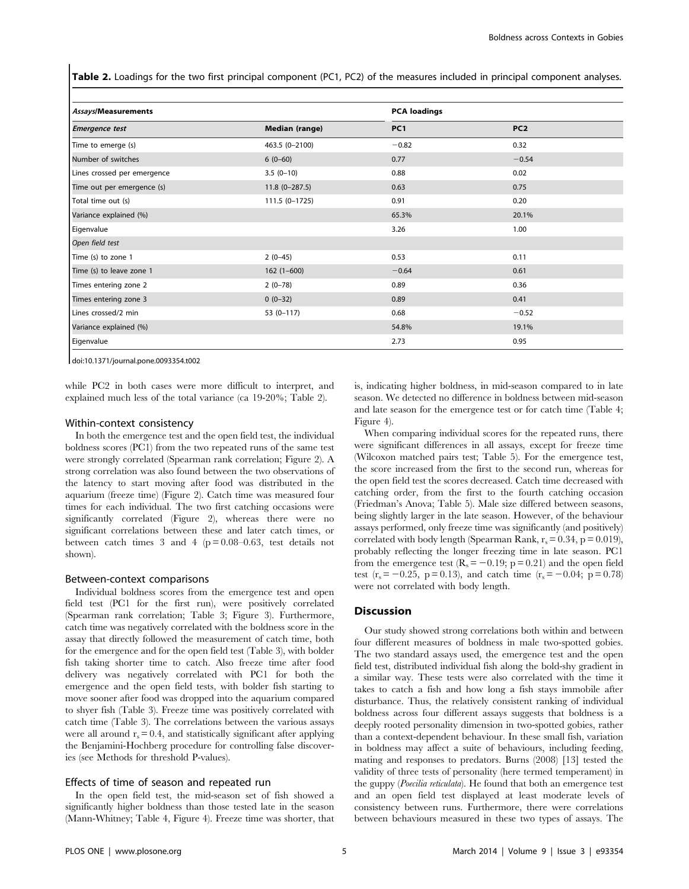Table 2. Loadings for the two first principal component (PC1, PC2) of the measures included in principal component analyses.

| Assays/Measurements         |                       | <b>PCA loadings</b> |                 |
|-----------------------------|-----------------------|---------------------|-----------------|
| <b>Emergence test</b>       | <b>Median (range)</b> | PC <sub>1</sub>     | PC <sub>2</sub> |
| Time to emerge (s)          | 463.5 (0-2100)        | $-0.82$             | 0.32            |
| Number of switches          | $6(0-60)$             | 0.77                | $-0.54$         |
| Lines crossed per emergence | $3.5(0-10)$           | 0.88                | 0.02            |
| Time out per emergence (s)  | $11.8(0-287.5)$       | 0.63                | 0.75            |
| Total time out (s)          | 111.5 (0-1725)        | 0.91                | 0.20            |
| Variance explained (%)      |                       | 65.3%               | 20.1%           |
| Eigenvalue                  |                       | 3.26                | 1.00            |
| Open field test             |                       |                     |                 |
| Time (s) to zone 1          | $2(0-45)$             | 0.53                | 0.11            |
| Time (s) to leave zone 1    | $162(1-600)$          | $-0.64$             | 0.61            |
| Times entering zone 2       | $2(0-78)$             | 0.89                | 0.36            |
| Times entering zone 3       | $0(0-32)$             | 0.89                | 0.41            |
| Lines crossed/2 min         | $53(0-117)$           | 0.68                | $-0.52$         |
| Variance explained (%)      |                       | 54.8%               | 19.1%           |
| Eigenvalue                  |                       | 2.73                | 0.95            |

doi:10.1371/journal.pone.0093354.t002

while PC2 in both cases were more difficult to interpret, and explained much less of the total variance (ca 19-20%; Table 2).

#### Within-context consistency

In both the emergence test and the open field test, the individual boldness scores (PC1) from the two repeated runs of the same test were strongly correlated (Spearman rank correlation; Figure 2). A strong correlation was also found between the two observations of the latency to start moving after food was distributed in the aquarium (freeze time) (Figure 2). Catch time was measured four times for each individual. The two first catching occasions were significantly correlated (Figure 2), whereas there were no significant correlations between these and later catch times, or between catch times 3 and 4 ( $p = 0.08-0.63$ , test details not shown).

#### Between-context comparisons

Individual boldness scores from the emergence test and open field test (PC1 for the first run), were positively correlated (Spearman rank correlation; Table 3; Figure 3). Furthermore, catch time was negatively correlated with the boldness score in the assay that directly followed the measurement of catch time, both for the emergence and for the open field test (Table 3), with bolder fish taking shorter time to catch. Also freeze time after food delivery was negatively correlated with PC1 for both the emergence and the open field tests, with bolder fish starting to move sooner after food was dropped into the aquarium compared to shyer fish (Table 3). Freeze time was positively correlated with catch time (Table 3). The correlations between the various assays were all around  $r_s = 0.4$ , and statistically significant after applying the Benjamini-Hochberg procedure for controlling false discoveries (see Methods for threshold P-values).

#### Effects of time of season and repeated run

In the open field test, the mid-season set of fish showed a significantly higher boldness than those tested late in the season (Mann-Whitney; Table 4, Figure 4). Freeze time was shorter, that

is, indicating higher boldness, in mid-season compared to in late season. We detected no difference in boldness between mid-season and late season for the emergence test or for catch time (Table 4; Figure 4).

When comparing individual scores for the repeated runs, there were significant differences in all assays, except for freeze time (Wilcoxon matched pairs test; Table 5). For the emergence test, the score increased from the first to the second run, whereas for the open field test the scores decreased. Catch time decreased with catching order, from the first to the fourth catching occasion (Friedman's Anova; Table 5). Male size differed between seasons, being slightly larger in the late season. However, of the behaviour assays performed, only freeze time was significantly (and positively) correlated with body length (Spearman Rank,  $r_s = 0.34$ , p = 0.019), probably reflecting the longer freezing time in late season. PC1 from the emergence test  $(R_s = -0.19; p = 0.21)$  and the open field test (r<sub>s</sub> = -0.25, p = 0.13), and catch time (r<sub>s</sub> = -0.04; p = 0.78) were not correlated with body length.

# **Discussion**

Our study showed strong correlations both within and between four different measures of boldness in male two-spotted gobies. The two standard assays used, the emergence test and the open field test, distributed individual fish along the bold-shy gradient in a similar way. These tests were also correlated with the time it takes to catch a fish and how long a fish stays immobile after disturbance. Thus, the relatively consistent ranking of individual boldness across four different assays suggests that boldness is a deeply rooted personality dimension in two-spotted gobies, rather than a context-dependent behaviour. In these small fish, variation in boldness may affect a suite of behaviours, including feeding, mating and responses to predators. Burns (2008) [13] tested the validity of three tests of personality (here termed temperament) in the guppy (*Poecilia reticulata*). He found that both an emergence test and an open field test displayed at least moderate levels of consistency between runs. Furthermore, there were correlations between behaviours measured in these two types of assays. The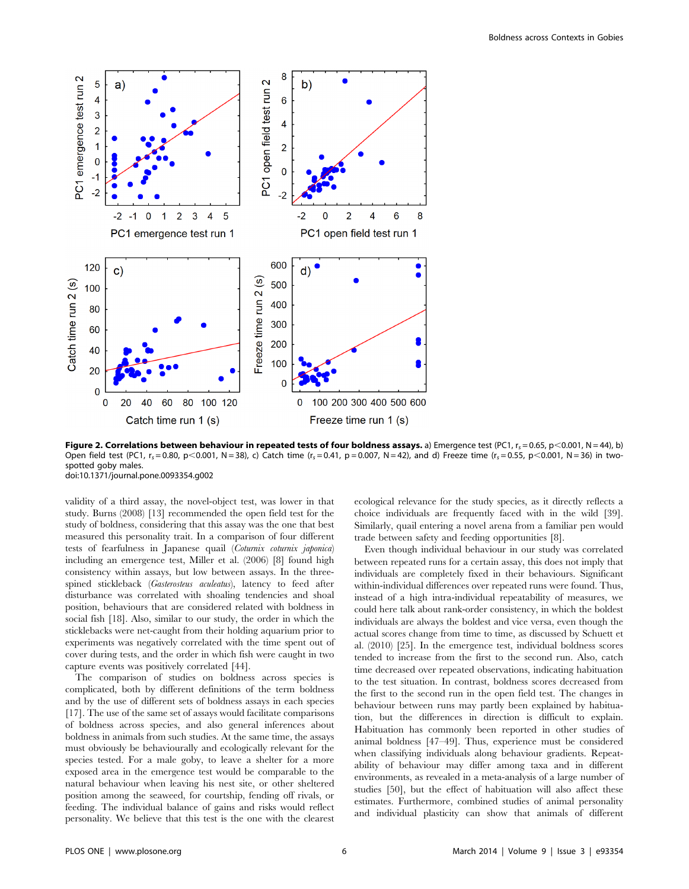

Figure 2. Correlations between behaviour in repeated tests of four boldness assays. a) Emergence test (PC1,  $r_s = 0.65$ , p<0.001, N = 44), b) Open field test (PC1,  $r_s = 0.80$ , p $\lt 0.001$ , N = 38), c) Catch time ( $r_s = 0.41$ , p = 0.007, N = 42), and d) Freeze time ( $r_s = 0.55$ , p $\lt 0.001$ , N = 36) in twospotted goby males. doi:10.1371/journal.pone.0093354.g002

validity of a third assay, the novel-object test, was lower in that study. Burns (2008) [13] recommended the open field test for the study of boldness, considering that this assay was the one that best measured this personality trait. In a comparison of four different tests of fearfulness in Japanese quail (Coturnix coturnix japonica) including an emergence test, Miller et al. (2006) [8] found high consistency within assays, but low between assays. In the threespined stickleback (Gasterosteus aculeatus), latency to feed after disturbance was correlated with shoaling tendencies and shoal position, behaviours that are considered related with boldness in social fish [18]. Also, similar to our study, the order in which the sticklebacks were net-caught from their holding aquarium prior to experiments was negatively correlated with the time spent out of cover during tests, and the order in which fish were caught in two capture events was positively correlated [44].

The comparison of studies on boldness across species is complicated, both by different definitions of the term boldness and by the use of different sets of boldness assays in each species [17]. The use of the same set of assays would facilitate comparisons of boldness across species, and also general inferences about boldness in animals from such studies. At the same time, the assays must obviously be behaviourally and ecologically relevant for the species tested. For a male goby, to leave a shelter for a more exposed area in the emergence test would be comparable to the natural behaviour when leaving his nest site, or other sheltered position among the seaweed, for courtship, fending off rivals, or feeding. The individual balance of gains and risks would reflect personality. We believe that this test is the one with the clearest

ecological relevance for the study species, as it directly reflects a choice individuals are frequently faced with in the wild [39]. Similarly, quail entering a novel arena from a familiar pen would trade between safety and feeding opportunities [8].

Even though individual behaviour in our study was correlated between repeated runs for a certain assay, this does not imply that individuals are completely fixed in their behaviours. Significant within-individual differences over repeated runs were found. Thus, instead of a high intra-individual repeatability of measures, we could here talk about rank-order consistency, in which the boldest individuals are always the boldest and vice versa, even though the actual scores change from time to time, as discussed by Schuett et al. (2010) [25]. In the emergence test, individual boldness scores tended to increase from the first to the second run. Also, catch time decreased over repeated observations, indicating habituation to the test situation. In contrast, boldness scores decreased from the first to the second run in the open field test. The changes in behaviour between runs may partly been explained by habituation, but the differences in direction is difficult to explain. Habituation has commonly been reported in other studies of animal boldness [47–49]. Thus, experience must be considered when classifying individuals along behaviour gradients. Repeatability of behaviour may differ among taxa and in different environments, as revealed in a meta-analysis of a large number of studies [50], but the effect of habituation will also affect these estimates. Furthermore, combined studies of animal personality and individual plasticity can show that animals of different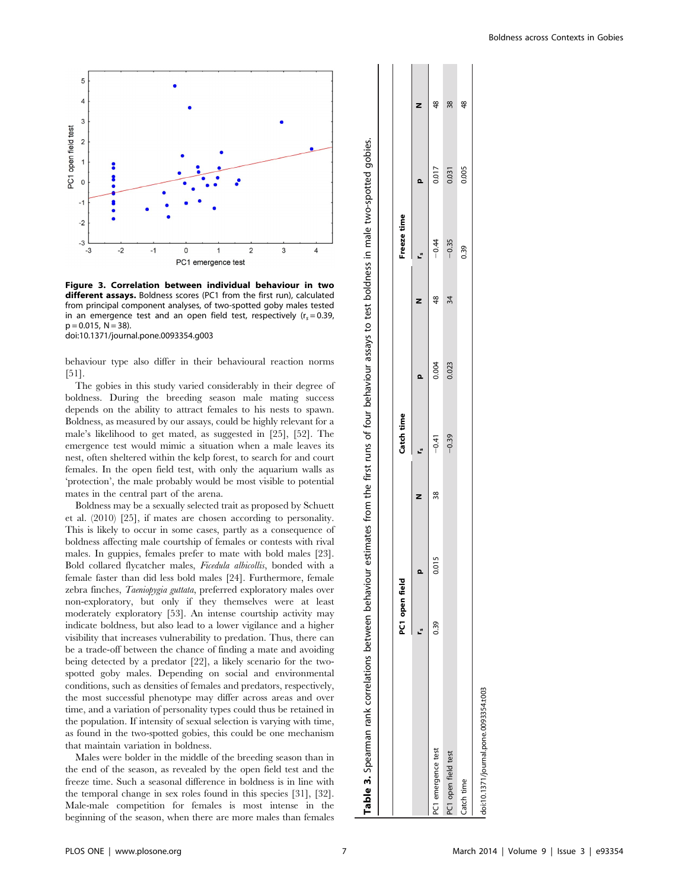

Figure 3. Correlation between individual behaviour in two different assays. Boldness scores (PC1 from the first run), calculated from principal component analyses, of two-spotted goby males tested in an emergence test and an open field test, respectively ( $r_s = 0.39$ ,  $p = 0.015$ ,  $N = 38$ ).

doi:10.1371/journal.pone.0093354.g003

behaviour type also differ in their behavioural reaction norms [51].

The gobies in this study varied considerably in their degree of boldness. During the breeding season male mating success depends on the ability to attract females to his nests to spawn. Boldness, as measured by our assays, could be highly relevant for a male's likelihood to get mated, as suggested in [25], [52]. The emergence test would mimic a situation when a male leaves its nest, often sheltered within the kelp forest, to search for and court females. In the open field test, with only the aquarium walls as 'protection', the male probably would be most visible to potential mates in the central part of the arena.

Boldness may be a sexually selected trait as proposed by Schuett et al. (2010) [25], if mates are chosen according to personality. This is likely to occur in some cases, partly as a consequence of boldness affecting male courtship of females or contests with rival males. In guppies, females prefer to mate with bold males [23]. Bold collared flycatcher males, Ficedula albicollis, bonded with a female faster than did less bold males [24]. Furthermore, female zebra finches, Taeniopygia guttata, preferred exploratory males over non-exploratory, but only if they themselves were at least moderately exploratory [53]. An intense courtship activity may indicate boldness, but also lead to a lower vigilance and a higher visibility that increases vulnerability to predation. Thus, there can be a trade-off between the chance of finding a mate and avoiding being detected by a predator [22], a likely scenario for the twospotted goby males. Depending on social and environmental conditions, such as densities of females and predators, respectively, the most successful phenotype may differ across areas and over time, and a variation of personality types could thus be retained in the population. If intensity of sexual selection is varying with time, as found in the two-spotted gobies, this could be one mechanism that maintain variation in boldness.

Males were bolder in the middle of the breeding season than in the end of the season, as revealed by the open field test and the freeze time. Such a seasonal difference in boldness is in line with the temporal change in sex roles found in this species [31], [32]. Male-male competition for females is most intense in the beginning of the season, when there are more males than females

|                                       | PC1 open field |       |    | Catch time |       |                | Freeze time |       |                |
|---------------------------------------|----------------|-------|----|------------|-------|----------------|-------------|-------|----------------|
|                                       |                | ء     | Z  | r.         | Q     |                | <u>ي</u>    | Q     | Z              |
| C1 emergence test                     | 0.39           | 0.015 | 38 | $-0.41$    | 0.004 | $\frac{48}{5}$ | $-0.44$     | 0.017 | $\frac{8}{4}$  |
| PC1 open field test                   |                |       |    | $-0.39$    | 0.023 | 34             | $-0.35$     | 0.031 | 38             |
| Catch time                            |                |       |    |            |       |                | 0.39        | 0.005 | $\frac{48}{5}$ |
| doi:10.1371/journal.pone.0093354.t003 |                |       |    |            |       |                |             |       |                |

Table 3. Spearman rank correlations between behaviour estimates from the first runs of four behaviour assays to test boldness in male two-spotted gobies.

3. Spearman rank correlations between behaviour estimates from the first runs of four behaviour assays

test boldness in male two-spotted gobies.

 $\overline{c}$ 

 $1 - 1$ 

**Contract Contract** 

 $\blacksquare$ 

Table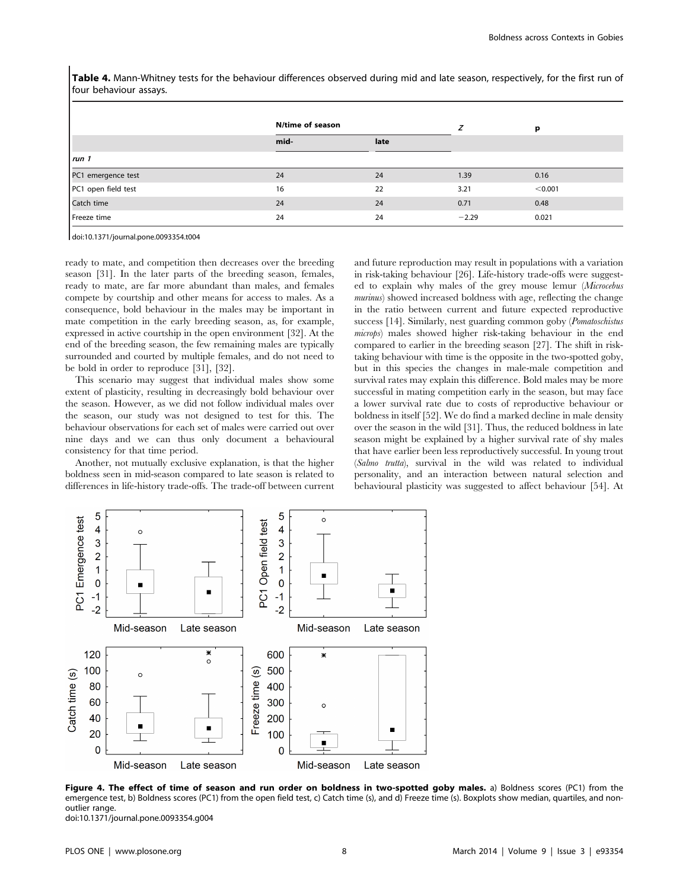Table 4. Mann-Whitney tests for the behaviour differences observed during mid and late season, respectively, for the first run of four behaviour assays.

|                     | N/time of season |      |         | р       |
|---------------------|------------------|------|---------|---------|
|                     | mid-             | late |         |         |
| run 1               |                  |      |         |         |
| PC1 emergence test  | 24               | 24   | 1.39    | 0.16    |
| PC1 open field test | 16               | 22   | 3.21    | < 0.001 |
| Catch time          | 24               | 24   | 0.71    | 0.48    |
| Freeze time         | 24               | 24   | $-2.29$ | 0.021   |

doi:10.1371/journal.pone.0093354.t004

ready to mate, and competition then decreases over the breeding season [31]. In the later parts of the breeding season, females, ready to mate, are far more abundant than males, and females compete by courtship and other means for access to males. As a consequence, bold behaviour in the males may be important in mate competition in the early breeding season, as, for example, expressed in active courtship in the open environment [32]. At the end of the breeding season, the few remaining males are typically surrounded and courted by multiple females, and do not need to be bold in order to reproduce [31], [32].

This scenario may suggest that individual males show some extent of plasticity, resulting in decreasingly bold behaviour over the season. However, as we did not follow individual males over the season, our study was not designed to test for this. The behaviour observations for each set of males were carried out over nine days and we can thus only document a behavioural consistency for that time period.

Another, not mutually exclusive explanation, is that the higher boldness seen in mid-season compared to late season is related to differences in life-history trade-offs. The trade-off between current and future reproduction may result in populations with a variation in risk-taking behaviour [26]. Life-history trade-offs were suggested to explain why males of the grey mouse lemur (Microcebus murinus) showed increased boldness with age, reflecting the change in the ratio between current and future expected reproductive success [14]. Similarly, nest guarding common goby (Pomatoschistus microps) males showed higher risk-taking behaviour in the end compared to earlier in the breeding season [27]. The shift in risktaking behaviour with time is the opposite in the two-spotted goby, but in this species the changes in male-male competition and survival rates may explain this difference. Bold males may be more successful in mating competition early in the season, but may face a lower survival rate due to costs of reproductive behaviour or boldness in itself [52]. We do find a marked decline in male density over the season in the wild [31]. Thus, the reduced boldness in late season might be explained by a higher survival rate of shy males that have earlier been less reproductively successful. In young trout (Salmo trutta), survival in the wild was related to individual personality, and an interaction between natural selection and behavioural plasticity was suggested to affect behaviour [54]. At



Figure 4. The effect of time of season and run order on boldness in two-spotted goby males. a) Boldness scores (PC1) from the emergence test, b) Boldness scores (PC1) from the open field test, c) Catch time (s), and d) Freeze time (s). Boxplots show median, quartiles, and nonoutlier range. doi:10.1371/journal.pone.0093354.g004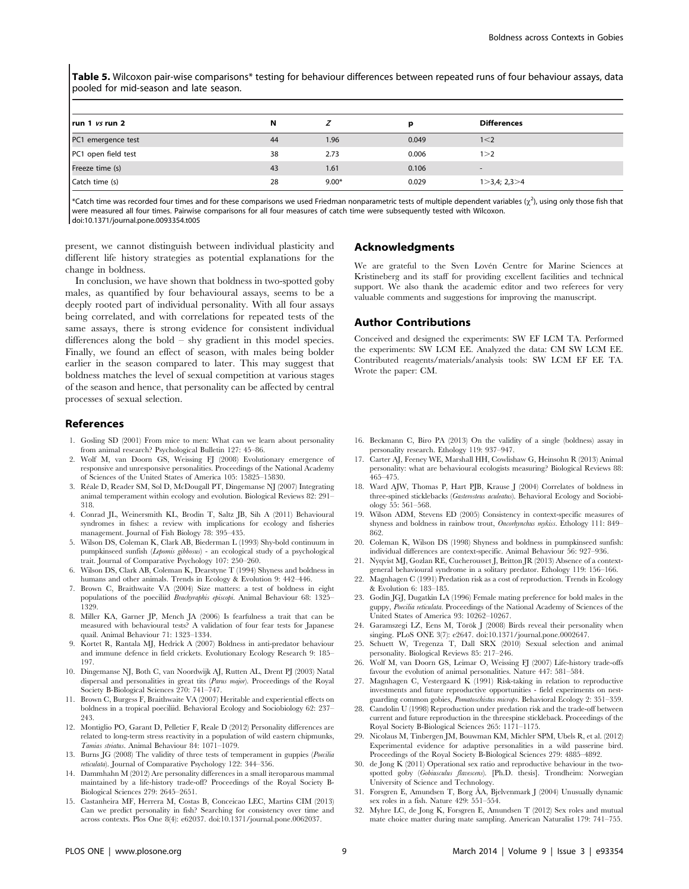Table 5. Wilcoxon pair-wise comparisons\* testing for behaviour differences between repeated runs of four behaviour assays, data pooled for mid-season and late season.

| $ $ run 1 <i>vs</i> run 2 | N  |         | D     | <b>Differences</b>       |
|---------------------------|----|---------|-------|--------------------------|
| PC1 emergence test        | 44 | 1.96    | 0.049 | 1 < 2                    |
| PC1 open field test       | 38 | 2.73    | 0.006 | 1 > 2                    |
| Freeze time (s)           | 43 | 1.61    | 0.106 | $\overline{\phantom{a}}$ |
| Catch time (s)            | 28 | $9.00*$ | 0.029 | 1 > 3,4; 2,3 > 4         |

\*Catch time was recorded four times and for these comparisons we used Friedman nonparametric tests of multiple dependent variables  $(\chi^2)$ , using only those fish that were measured all four times. Pairwise comparisons for all four measures of catch time were subsequently tested with Wilcoxon. doi:10.1371/journal.pone.0093354.t005

present, we cannot distinguish between individual plasticity and different life history strategies as potential explanations for the change in boldness.

In conclusion, we have shown that boldness in two-spotted goby males, as quantified by four behavioural assays, seems to be a deeply rooted part of individual personality. With all four assays being correlated, and with correlations for repeated tests of the same assays, there is strong evidence for consistent individual differences along the bold – shy gradient in this model species. Finally, we found an effect of season, with males being bolder earlier in the season compared to later. This may suggest that boldness matches the level of sexual competition at various stages of the season and hence, that personality can be affected by central processes of sexual selection.

# References

- 1. Gosling SD (2001) From mice to men: What can we learn about personality from animal research? Psychological Bulletin 127: 45–86.
- 2. Wolf M, van Doorn GS, Weissing FJ (2008) Evolutionary emergence of responsive and unresponsive personalities. Proceedings of the National Academy of Sciences of the United States of America 105: 15825–15830.
- 3. Re´ale D, Reader SM, Sol D, McDougall PT, Dingemanse NJ (2007) Integrating animal temperament within ecology and evolution. Biological Reviews 82: 291– 318.
- 4. Conrad JL, Weinersmith KL, Brodin T, Saltz JB, Sih A (2011) Behavioural syndromes in fishes: a review with implications for ecology and fisheries management. Journal of Fish Biology 78: 395–435.
- 5. Wilson DS, Coleman K, Clark AB, Biederman L (1993) Shy-bold continuum in pumpkinseed sunfish (Lepomis gibbosus) - an ecological study of a psychological trait. Journal of Comparative Psychology 107: 250–260.
- 6. Wilson DS, Clark AB, Coleman K, Dearstyne T (1994) Shyness and boldness in humans and other animals. Trends in Ecology & Evolution 9: 442–446.
- 7. Brown C, Braithwaite VA (2004) Size matters: a test of boldness in eight populations of the poeciliid Brachyraphis episcopi. Animal Behaviour 68: 1325– 1329.
- 8. Miller KA, Garner JP, Mench JA (2006) Is fearfulness a trait that can be measured with behavioural tests? A validation of four fear tests for Japanese quail. Animal Behaviour 71: 1323–1334.
- 9. Kortet R, Rantala MJ, Hedrick A (2007) Boldness in anti-predator behaviour and immune defence in field crickets. Evolutionary Ecology Research 9: 185– 197.
- 10. Dingemanse NJ, Both C, van Noordwijk AJ, Rutten AL, Drent PJ (2003) Natal dispersal and personalities in great tits (Parus major). Proceedings of the Royal Society B-Biological Sciences 270: 741–747.
- 11. Brown C, Burgess F, Braithwaite VA (2007) Heritable and experiential effects on boldness in a tropical poeciliid. Behavioral Ecology and Sociobiology 62: 237– 243.
- 12. Montiglio PO, Garant D, Pelletier F, Reale D (2012) Personality differences are related to long-term stress reactivity in a population of wild eastern chipmunks, Tamias striatus. Animal Behaviour 84: 1071–1079.
- 13. Burns JG (2008) The validity of three tests of temperament in guppies (Poecilia reticulata). Journal of Comparative Psychology 122: 344–356.
- 14. Dammhahn M (2012) Are personality differences in a small iteroparous mammal maintained by a life-history trade-off? Proceedings of the Royal Society B-Biological Sciences 279: 2645–2651.
- 15. Castanheira MF, Herrera M, Costas B, Conceicao LEC, Martins CIM (2013) Can we predict personality in fish? Searching for consistency over time and across contexts. Plos One 8(4): e62037. doi:10.1371/journal.pone.0062037.

#### Acknowledgments

We are grateful to the Sven Lovén Centre for Marine Sciences at Kristineberg and its staff for providing excellent facilities and technical support. We also thank the academic editor and two referees for very valuable comments and suggestions for improving the manuscript.

# Author Contributions

Conceived and designed the experiments: SW EF LCM TA. Performed the experiments: SW LCM EE. Analyzed the data: CM SW LCM EE. Contributed reagents/materials/analysis tools: SW LCM EF EE TA. Wrote the paper: CM.

- 16. Beckmann C, Biro PA (2013) On the validity of a single (boldness) assay in personality research. Ethology 119: 937–947.
- 17. Carter AJ, Feeney WE, Marshall HH, Cowlishaw G, Heinsohn R (2013) Animal personality: what are behavioural ecologists measuring? Biological Reviews 88: 465–475.
- 18. Ward AJW, Thomas P, Hart PJB, Krause J (2004) Correlates of boldness in three-spined sticklebacks (Gasterosteus aculeatus). Behavioral Ecology and Sociobiology 55: 561–568.
- 19. Wilson ADM, Stevens ED (2005) Consistency in context-specific measures of shyness and boldness in rainbow trout, Oncorhynchus mykiss. Ethology 111: 849– 862.
- 20. Coleman K, Wilson DS (1998) Shyness and boldness in pumpkinseed sunfish: individual differences are context-specific. Animal Behaviour 56: 927–936.
- 21. Nyqvist MJ, Gozlan RE, Cucherousset J, Britton JR (2013) Absence of a contextgeneral behavioural syndrome in a solitary predator. Ethology 119: 156–166.
- 22. Magnhagen C (1991) Predation risk as a cost of reproduction. Trends in Ecology & Evolution 6: 183–185.
- 23. Godin JGJ, Dugatkin LA (1996) Female mating preference for bold males in the guppy, Poecilia reticulata. Proceedings of the National Academy of Sciences of the United States of America 93: 10262–10267.
- 24. Garamszegi LZ, Eens M, Török J (2008) Birds reveal their personality when singing. PLoS ONE 3(7): e2647. doi:10.1371/journal.pone.0002647.
- 25. Schuett W, Tregenza T, Dall SRX (2010) Sexual selection and animal personality. Biological Reviews 85: 217–246.
- 26. Wolf M, van Doorn GS, Leimar O, Weissing FJ (2007) Life-history trade-offs favour the evolution of animal personalities. Nature 447: 581–584.
- 27. Magnhagen C, Vestergaard K (1991) Risk-taking in relation to reproductive investments and future reproductive opportunities - field experiments on nestguarding common gobies, Pomatoschistus microps. Behavioral Ecology 2: 351–359.
- 28. Candolin U (1998) Reproduction under predation risk and the trade-off between current and future reproduction in the threespine stickleback. Proceedings of the Royal Society B-Biological Sciences 265: 1171–1175.
- 29. Nicolaus M, Tinbergen JM, Bouwman KM, Michler SPM, Ubels R, et al. (2012) Experimental evidence for adaptive personalities in a wild passerine bird. Proceedings of the Royal Society B-Biological Sciences 279: 4885–4892.
- 30. de Jong K (2011) Operational sex ratio and reproductive behaviour in the twospotted goby (Gobiusculus flavescens). [Ph.D. thesis]. Trondheim: Norwegian University of Science and Technology.
- 31. Forsgren E, Amundsen T, Borg ÅA, Bjelvenmark J (2004) Unusually dynamic sex roles in a fish. Nature 429: 551–554.
- 32. Myhre LC, de Jong K, Forsgren E, Amundsen T (2012) Sex roles and mutual mate choice matter during mate sampling. American Naturalist 179: 741–755.